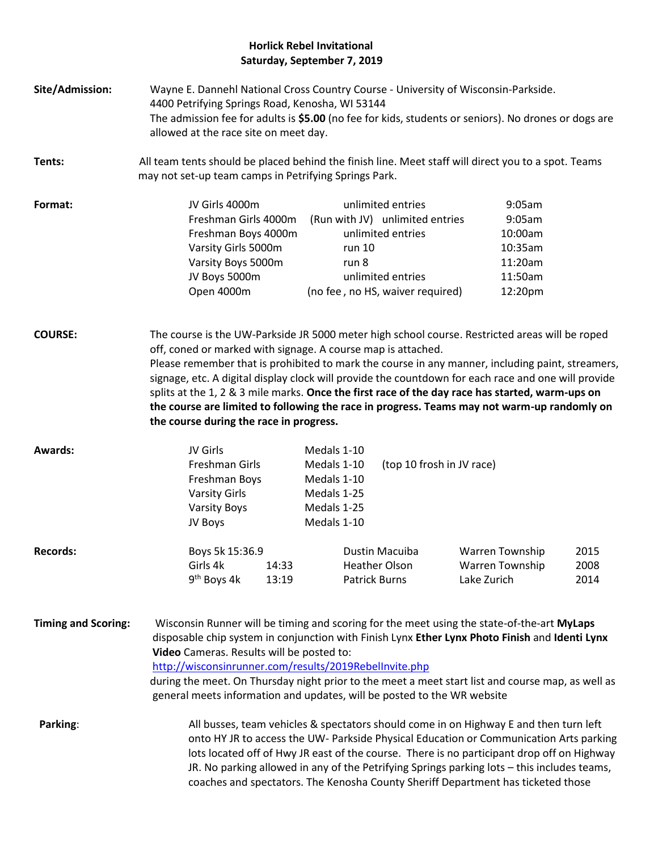## **Horlick Rebel Invitational Saturday, September 7, 2019**

- **Site/Admission:** Wayne E. Dannehl National Cross Country Course University of Wisconsin-Parkside. 4400 Petrifying Springs Road, Kenosha, WI 53144 The admission fee for adults is **\$5.00** (no fee for kids, students or seniors). No drones or dogs are allowed at the race site on meet day.
- **Tents:** All team tents should be placed behind the finish line. Meet staff will direct you to a spot. Teams may not set-up team camps in Petrifying Springs Park.

| Format: | JV Girls 4000m       | unlimited entries                | $9:05$ am           |
|---------|----------------------|----------------------------------|---------------------|
|         | Freshman Girls 4000m | (Run with JV) unlimited entries  | $9:05$ am           |
|         | Freshman Boys 4000m  | unlimited entries                | 10:00am             |
|         | Varsity Girls 5000m  | run 10                           | 10:35am             |
|         | Varsity Boys 5000m   | run 8                            | 11:20am             |
|         | JV Boys 5000m        | unlimited entries                | 11:50am             |
|         | Open 4000m           | (no fee, no HS, waiver required) | 12:20 <sub>pm</sub> |

**COURSE:** The course is the UW-Parkside JR 5000 meter high school course. Restricted areas will be roped off, coned or marked with signage. A course map is attached. Please remember that is prohibited to mark the course in any manner, including paint, streamers, signage, etc. A digital display clock will provide the countdown for each race and one will provide splits at the 1, 2 & 3 mile marks. **Once the first race of the day race has started, warm-ups on the course are limited to following the race in progress. Teams may not warm-up randomly on the course during the race in progress.**

| <b>Awards:</b>  | JV Girls                |       | Medals 1-10 |                           |                 |      |
|-----------------|-------------------------|-------|-------------|---------------------------|-----------------|------|
|                 | Freshman Girls          |       | Medals 1-10 | (top 10 frosh in JV race) |                 |      |
|                 | Freshman Boys           |       | Medals 1-10 |                           |                 |      |
|                 | <b>Varsity Girls</b>    |       | Medals 1-25 |                           |                 |      |
|                 | <b>Varsity Boys</b>     |       | Medals 1-25 |                           |                 |      |
|                 | JV Boys                 |       | Medals 1-10 |                           |                 |      |
| <b>Records:</b> | Boys 5k 15:36.9         |       |             | Dustin Macuiba            | Warren Township | 2015 |
|                 | Girls 4k                | 14:33 |             | <b>Heather Olson</b>      | Warren Township | 2008 |
|                 | 9 <sup>th</sup> Boys 4k | 13:19 |             | <b>Patrick Burns</b>      | Lake Zurich     | 2014 |

**Timing and Scoring:** Wisconsin Runner will be timing and scoring for the meet using the state-of-the-art **MyLaps** disposable chip system in conjunction with Finish Lynx **Ether Lynx Photo Finish** and **Identi Lynx Video** Cameras. Results will be posted to:

<http://wisconsinrunner.com/results/2019RebelInvite.php>

during the meet. On Thursday night prior to the meet a meet start list and course map, as well as general meets information and updates, will be posted to the WR website

**Parking:** All busses, team vehicles & spectators should come in on Highway E and then turn left onto HY JR to access the UW- Parkside Physical Education or Communication Arts parking lots located off of Hwy JR east of the course. There is no participant drop off on Highway JR. No parking allowed in any of the Petrifying Springs parking lots – this includes teams, coaches and spectators. The Kenosha County Sheriff Department has ticketed those